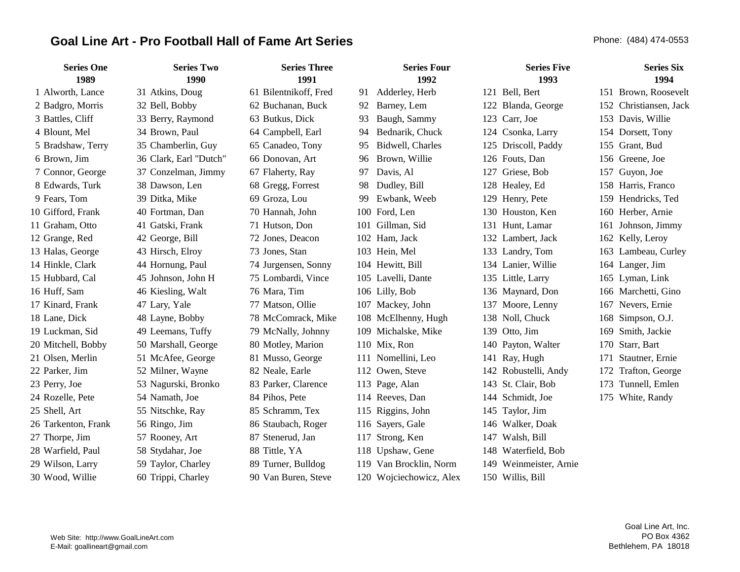# Goal Line Art - Pro Football Hall of Fame Art Series **Phone: (484) 474-0553** Phone: (484) 474-0553

| <b>Series One</b><br>1989 | <b>Series Two</b><br>1990 | <b>Series Three</b><br>1991 |     | <b>Series Four</b><br>1992 |     | <b>Series Five</b><br>1993 |     | <b>Series Six</b><br>1994 |
|---------------------------|---------------------------|-----------------------------|-----|----------------------------|-----|----------------------------|-----|---------------------------|
| 1 Alworth, Lance          | 31 Atkins, Doug           | 61 Bilentnikoff, Fred       | 91  | Adderley, Herb             |     | 121 Bell, Bert             |     | 151 Brown, Roosevelt      |
| 2 Badgro, Morris          | 32 Bell, Bobby            | 62 Buchanan, Buck           | 92  | Barney, Lem                |     | 122 Blanda, George         | 152 | Christiansen, Jack        |
| 3 Battles, Cliff          | 33 Berry, Raymond         | 63 Butkus, Dick             | 93  | Baugh, Sammy               |     | 123 Carr, Joe              | 153 | Davis, Willie             |
| 4 Blount, Mel             | 34 Brown, Paul            | 64 Campbell, Earl           | 94  | Bednarik, Chuck            |     | 124 Csonka, Larry          | 154 | Dorsett, Tony             |
| 5 Bradshaw, Terry         | 35 Chamberlin, Guy        | 65 Canadeo, Tony            | 95  | Bidwell, Charles           |     | 125 Driscoll, Paddy        | 155 | Grant, Bud                |
| 6 Brown, Jim              | 36 Clark, Earl "Dutch"    | 66 Donovan, Art             | 96  | Brown, Willie              |     | 126 Fouts, Dan             | 156 | Greene, Joe               |
| 7 Connor, George          | 37 Conzelman, Jimmy       | 67 Flaherty, Ray            | 97  | Davis, Al                  |     | 127 Griese, Bob            | 157 | Guyon, Joe                |
| 8 Edwards, Turk           | 38 Dawson, Len            | 68 Gregg, Forrest           | 98  | Dudley, Bill               |     | 128 Healey, Ed             |     | 158 Harris, Franco        |
| 9 Fears, Tom              | 39 Ditka, Mike            | 69 Groza, Lou               | 99  | Ewbank, Weeb               |     | 129 Henry, Pete            | 159 | Hendricks, Ted            |
| 10 Gifford, Frank         | 40 Fortman, Dan           | 70 Hannah, John             | 100 | Ford, Len                  |     | 130 Houston, Ken           |     | 160 Herber, Arnie         |
| 11 Graham, Otto           | 41 Gatski, Frank          | 71 Hutson, Don              | 101 | Gillman, Sid               |     | 131 Hunt, Lamar            |     | 161 Johnson, Jimmy        |
| 12 Grange, Red            | 42 George, Bill           | 72 Jones, Deacon            |     | 102 Ham, Jack              |     | 132 Lambert, Jack          |     | 162 Kelly, Leroy          |
| 13 Halas, George          | 43 Hirsch, Elroy          | 73 Jones, Stan              |     | 103 Hein, Mel              |     | 133 Landry, Tom            |     | 163 Lambeau, Curley       |
| 14 Hinkle, Clark          | 44 Hornung, Paul          | 74 Jurgensen, Sonny         |     | 104 Hewitt, Bill           |     | 134 Lanier, Willie         |     | 164 Langer, Jim           |
| 15 Hubbard, Cal           | 45 Johnson, John H        | 75 Lombardi, Vince          | 105 | Lavelli, Dante             |     | 135 Little, Larry          | 165 | Lyman, Link               |
| 16 Huff, Sam              | 46 Kiesling, Walt         | 76 Mara, Tim                |     | 106 Lilly, Bob             |     | 136 Maynard, Don           |     | 166 Marchetti, Gino       |
| 17 Kinard, Frank          | 47 Lary, Yale             | 77 Matson, Ollie            |     | 107 Mackey, John           |     | 137 Moore, Lenny           |     | 167 Nevers, Ernie         |
| 18 Lane, Dick             | 48 Layne, Bobby           | 78 McComrack, Mike          |     | 108 McElhenny, Hugh        |     | 138 Noll, Chuck            | 168 | Simpson, O.J.             |
| 19 Luckman, Sid           | 49 Leemans, Tuffy         | 79 McNally, Johnny          | 109 | Michalske, Mike            |     | 139 Otto, Jim              | 169 | Smith, Jackie             |
| 20 Mitchell, Bobby        | 50 Marshall, George       | 80 Motley, Marion           |     | 110 Mix, Ron               |     | 140 Payton, Walter         | 170 | Starr, Bart               |
| 21 Olsen, Merlin          | 51 McAfee, George         | 81 Musso, George            | 111 | Nomellini, Leo             |     | 141 Ray, Hugh              | 171 | Stautner, Ernie           |
| 22 Parker, Jim            | 52 Milner, Wayne          | 82 Neale, Earle             |     | 112 Owen, Steve            |     | 142 Robustelli, Andy       | 172 | Trafton, George           |
| 23 Perry, Joe             | 53 Nagurski, Bronko       | 83 Parker, Clarence         |     | 113 Page, Alan             |     | 143 St. Clair, Bob         | 173 | Tunnell, Emlen            |
| 24 Rozelle, Pete          | 54 Namath, Joe            | 84 Pihos, Pete              |     | 114 Reeves, Dan            |     | 144 Schmidt, Joe           | 175 | White, Randy              |
| 25 Shell, Art             | 55 Nitschke, Ray          | 85 Schramm, Tex             |     | 115 Riggins, John          |     | 145 Taylor, Jim            |     |                           |
| 26 Tarkenton, Frank       | 56 Ringo, Jim             | 86 Staubach, Roger          |     | 116 Sayers, Gale           |     | 146 Walker, Doak           |     |                           |
| 27 Thorpe, Jim            | 57 Rooney, Art            | 87 Stenerud, Jan            | 117 | Strong, Ken                | 147 | Walsh, Bill                |     |                           |
| 28 Warfield, Paul         | 58 Stydahar, Joe          | 88 Tittle, YA               |     | 118 Upshaw, Gene           |     | 148 Waterfield, Bob        |     |                           |
| 29 Wilson, Larry          | 59 Taylor, Charley        | 89 Turner, Bulldog          | 119 | Van Brocklin, Norm         |     | 149 Weinmeister, Arnie     |     |                           |
| 30 Wood, Willie           | 60 Trippi, Charley        | 90 Van Buren, Steve         |     | 120 Wojciechowicz, Alex    |     | 150 Willis, Bill           |     |                           |